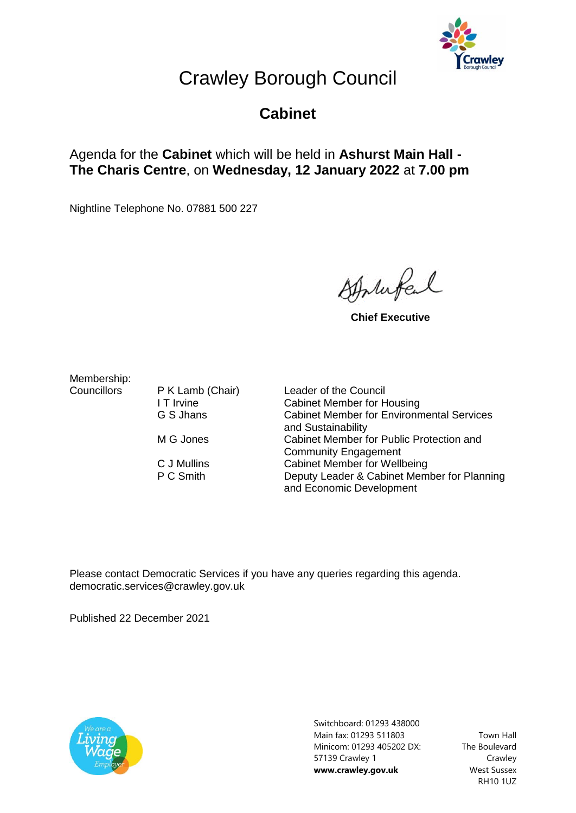

## Crawley Borough Council

## **Cabinet**

## Agenda for the **Cabinet** which will be held in **Ashurst Main Hall - The Charis Centre**, on **Wednesday, 12 January 2022** at **7.00 pm**

Nightline Telephone No. 07881 500 227

Atthufel

**Chief Executive**

Membership:

Councillors P K Lamb (Chair) Leader of the Council I T Irvine Cabinet Member for Housing G S Jhans Cabinet Member for Environmental Services and Sustainability M G Jones Cabinet Member for Public Protection and Community Engagement C J Mullins Cabinet Member for Wellbeing P C Smith Deputy Leader & Cabinet Member for Planning and Economic Development

Please contact Democratic Services if you have any queries regarding this agenda. democratic.services@crawley.gov.uk

Published 22 December 2021



Switchboard: 01293 438000 Main fax: 01293 511803 Minicom: 01293 405202 DX: 57139 Crawley 1 **www.crawley.gov.uk**

Town Hall The Boulevard Crawley West Sussex RH10 1UZ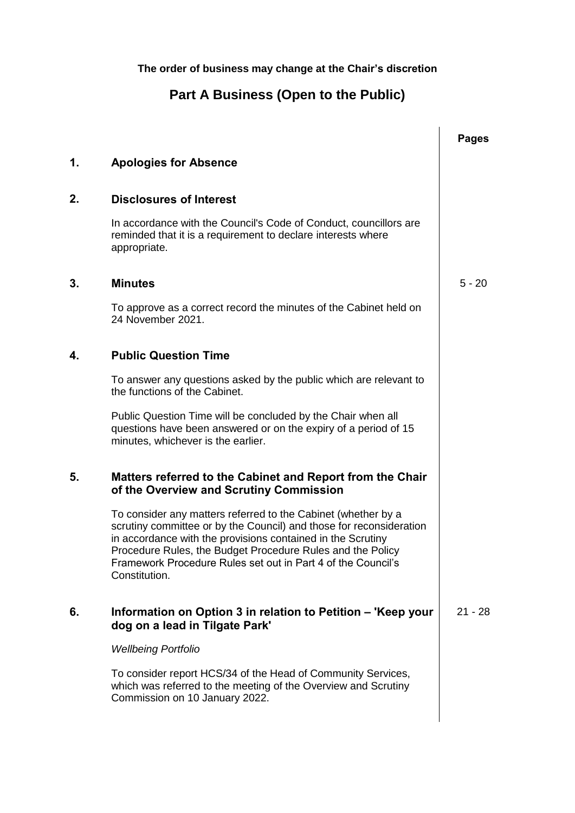**The order of business may change at the Chair's discretion**

## **Part A Business (Open to the Public)**

|    |                                                                                                                                                                                                                                                                                                                                                    | <b>Pages</b> |
|----|----------------------------------------------------------------------------------------------------------------------------------------------------------------------------------------------------------------------------------------------------------------------------------------------------------------------------------------------------|--------------|
| 1. | <b>Apologies for Absence</b>                                                                                                                                                                                                                                                                                                                       |              |
| 2. | <b>Disclosures of Interest</b>                                                                                                                                                                                                                                                                                                                     |              |
|    | In accordance with the Council's Code of Conduct, councillors are<br>reminded that it is a requirement to declare interests where<br>appropriate.                                                                                                                                                                                                  |              |
| 3. | <b>Minutes</b>                                                                                                                                                                                                                                                                                                                                     | $5 - 20$     |
|    | To approve as a correct record the minutes of the Cabinet held on<br>24 November 2021.                                                                                                                                                                                                                                                             |              |
| 4. | <b>Public Question Time</b>                                                                                                                                                                                                                                                                                                                        |              |
|    | To answer any questions asked by the public which are relevant to<br>the functions of the Cabinet.                                                                                                                                                                                                                                                 |              |
|    | Public Question Time will be concluded by the Chair when all<br>questions have been answered or on the expiry of a period of 15<br>minutes, whichever is the earlier.                                                                                                                                                                              |              |
| 5. | Matters referred to the Cabinet and Report from the Chair<br>of the Overview and Scrutiny Commission                                                                                                                                                                                                                                               |              |
|    | To consider any matters referred to the Cabinet (whether by a<br>scrutiny committee or by the Council) and those for reconsideration<br>in accordance with the provisions contained in the Scrutiny<br>Procedure Rules, the Budget Procedure Rules and the Policy<br>Framework Procedure Rules set out in Part 4 of the Council's<br>Constitution. |              |
| 6. | Information on Option 3 in relation to Petition – 'Keep your<br>dog on a lead in Tilgate Park'                                                                                                                                                                                                                                                     | $21 - 28$    |
|    | <b>Wellbeing Portfolio</b>                                                                                                                                                                                                                                                                                                                         |              |
|    | To consider report HCS/34 of the Head of Community Services,<br>which was referred to the meeting of the Overview and Scrutiny<br>Commission on 10 January 2022.                                                                                                                                                                                   |              |
|    |                                                                                                                                                                                                                                                                                                                                                    |              |